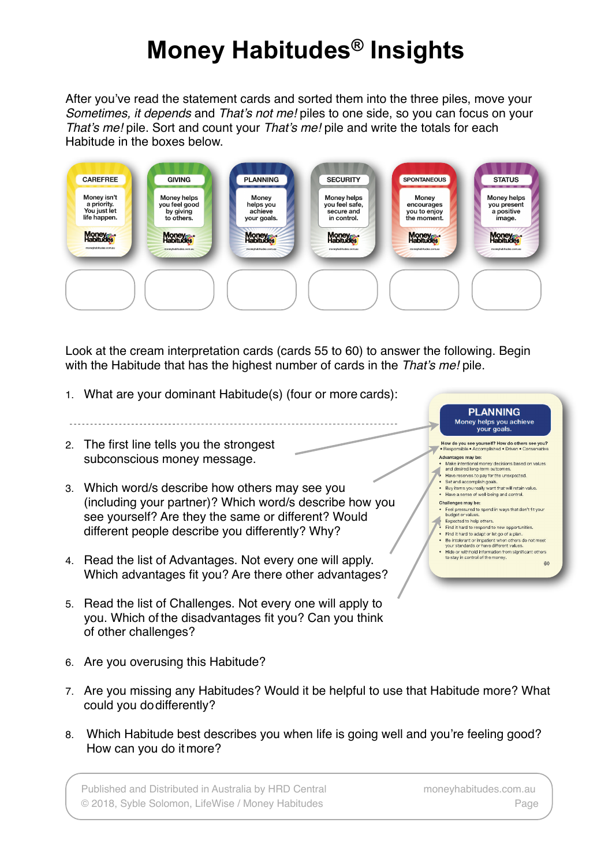## **Money Habitudes® Insights**

After you've read the statement cards and sorted them into the three piles, move your *Sometimes, it depends* and *That's not me!* piles to one side, so you can focus on your *That's me!* pile. Sort and count your *That's me!* pile and write the totals for each Habitude in the boxes below.



Look at the cream interpretation cards (cards 55 to 60) to answer the following. Begin with the Habitude that has the highest number of cards in the *That's me!* pile.

- 1. What are your dominant Habitude(s) (four or more cards):
- 2. The first line tells you the strongest subconscious money message.
- 3. Which word/s describe how others may see you (including your partner)? Which word/s describe how you see yourself? Are they the same or different? Would different people describe you differently? Why?
- 4. Read the list of Advantages. Not every one will apply. Which advantages fit you? Are there other advantages?
- 5. Read the list of Challenges. Not every one will apply to you. Which of the disadvantages fit you? Can you think of other challenges?
- 6. Are you overusing this Habitude?
- 7. Are you missing any Habitudes? Would it be helpful to use that Habitude more? What could you dodifferently?
- 8. Which Habitude best describes you when life is going well and you're feeling good? How can you do itmore?

Published and Distributed in Australia by HRD Central [moneyhabitudes.com.au](http://www.moneyhabitudes.com/) © 2018, Syble Solomon, LifeWise / Money Habitudes Page

**PLANNING** Money helps you achieve vour goals. How do you see yourself? How do others see you?<br>• Responsible • Accomplished • Driven • Conservative

Make intentional money decisions based on values<br>and desired long-term outcomes. and desired long-term outcomes.<br>• Have reserves to pay for the unexpected.<br>• Set and accomplish goals Have reserves to pay for the unexpected.<br>Set and accomplish goals.<br>Buy items you really want that will retain value.<br>Have a sense of well-being and control.

Feel pressured to spend in ways that don't fit your<br>budget or values.<br>District the state of the state of the state of the state of the state of the state of the state of the state of the state of the state of the state of

Find it hard to respond to new opportunities. Find it hard to respond to new opportunities.<br>Find it hard to adapt or let go of a plan.<br>Be intolerant or impatient when others do not meet<br>your standards or have different values.<br>Hide or withhold information from signif

Advantages may be:

Challenges may be:

Expected to help others.

 $\overline{\Lambda}$